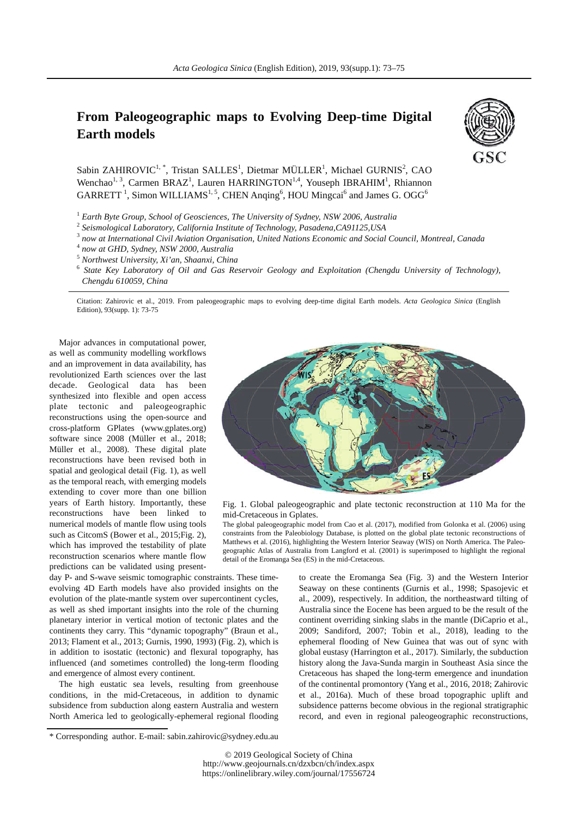## **From Paleogeographic maps to Evolving Deep-time Digital Earth models**



Sabin ZAHIROVIC<sup>1,\*</sup>, Tristan SALLES<sup>1</sup>, Dietmar MÜLLER<sup>1</sup>, Michael GURNIS<sup>2</sup>, CAO Wenchao<sup>1, 3</sup>, Carmen BRAZ<sup>1</sup>, Lauren HARRINGTON<sup>1,4</sup>, Youseph IBRAHIM<sup>1</sup>, Rhiannon  $GARRETT$ <sup>1</sup>, Simon WILLIAMS<sup>1, 5</sup>, CHEN Anqing<sup>6</sup>, HOU Mingcai<sup>6</sup> and James G. OGG<sup>6</sup>

<sup>1</sup> Earth Byte Group, School of Geosciences, The University of Sydney, NSW 2006, Australia

2  *Seismological Laboratory, California Institute of Technology, Pasadena,CA91125,USA* 

3  *now at International Civil Aviation Organisation, United Nations Economic and Social Council, Montreal, Canada* 

4  *now at GHD, Sydney, NSW 2000, Australia* 

5  *Northwest University, Xi'an, Shaanxi, China* 

<sup>6</sup> State Key Laboratory of Oil and Gas Reservoir Geology and Exploitation (Chengdu University of Technology), *Chengdu 610059, China*

Citation: Zahirovic et al., 2019. From paleogeographic maps to evolving deep-time digital Earth models. *Acta Geologica Sinica* (English Edition), 93(supp. 1): 73-75

Major advances in computational power, as well as community modelling workflows and an improvement in data availability, has revolutionized Earth sciences over the last decade. Geological data has been synthesized into flexible and open access plate tectonic and paleogeographic reconstructions using the open-source and cross-platform GPlates (www.gplates.org) software since 2008 (Müller et al., 2018; Müller et al., 2008). These digital plate reconstructions have been revised both in spatial and geological detail (Fig. 1), as well as the temporal reach, with emerging models extending to cover more than one billion years of Earth history. Importantly, these reconstructions have been linked to numerical models of mantle flow using tools such as CitcomS (Bower et al., 2015;Fig. 2), which has improved the testability of plate reconstruction scenarios where mantle flow predictions can be validated using present-



Fig. 1. Global paleogeographic and plate tectonic reconstruction at 110 Ma for the mid-Cretaceous in Gplates.

The global paleogeographic model from Cao et al. (2017), modified from Golonka et al. (2006) using constraints from the Paleobiology Database, is plotted on the global plate tectonic reconstructions of Matthews et al. (2016), highlighting the Western Interior Seaway (WIS) on North America. The Paleogeographic Atlas of Australia from Langford et al. (2001) is superimposed to highlight the regional detail of the Eromanga Sea (ES) in the mid-Cretaceous.

day P- and S-wave seismic tomographic constraints. These timeevolving 4D Earth models have also provided insights on the evolution of the plate-mantle system over supercontinent cycles, as well as shed important insights into the role of the churning planetary interior in vertical motion of tectonic plates and the continents they carry. This "dynamic topography" (Braun et al., 2013; Flament et al., 2013; Gurnis, 1990, 1993) (Fig. 2), which is in addition to isostatic (tectonic) and flexural topography, has influenced (and sometimes controlled) the long-term flooding and emergence of almost every continent.

The high eustatic sea levels, resulting from greenhouse conditions, in the mid-Cretaceous, in addition to dynamic subsidence from subduction along eastern Australia and western North America led to geologically-ephemeral regional flooding

to create the Eromanga Sea (Fig. 3) and the Western Interior Seaway on these continents (Gurnis et al., 1998; Spasojevic et al., 2009), respectively. In addition, the northeastward tilting of Australia since the Eocene has been argued to be the result of the continent overriding sinking slabs in the mantle (DiCaprio et al., 2009; Sandiford, 2007; Tobin et al., 2018), leading to the ephemeral flooding of New Guinea that was out of sync with global eustasy (Harrington et al., 2017). Similarly, the subduction history along the Java-Sunda margin in Southeast Asia since the Cretaceous has shaped the long-term emergence and inundation of the continental promontory (Yang et al., 2016, 2018; Zahirovic et al., 2016a). Much of these broad topographic uplift and subsidence patterns become obvious in the regional stratigraphic record, and even in regional paleogeographic reconstructions,

<sup>\*</sup> Corresponding author. E-mail: sabin.zahirovic@sydney.edu.au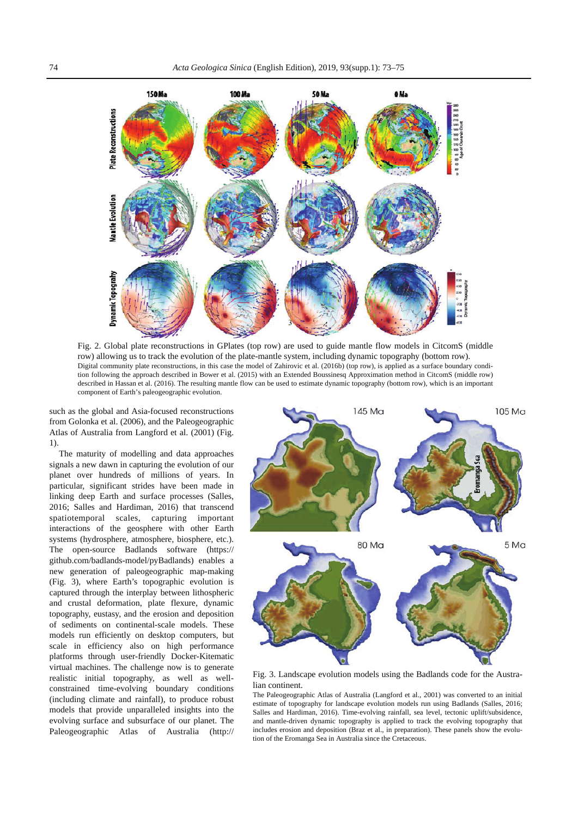

Fig. 2. Global plate reconstructions in GPlates (top row) are used to guide mantle flow models in CitcomS (middle row) allowing us to track the evolution of the plate-mantle system, including dynamic topography (bottom row). Digital community plate reconstructions, in this case the model of Zahirovic et al. (2016b) (top row), is applied as a surface boundary condition following the approach described in Bower et al. (2015) with an Extended Boussinesq Approximation method in CitcomS (middle row) described in Hassan et al. (2016). The resulting mantle flow can be used to estimate dynamic topography (bottom row), which is an important component of Earth's paleogeographic evolution.

such as the global and Asia-focused reconstructions from Golonka et al. (2006), and the Paleogeographic Atlas of Australia from Langford et al. (2001) (Fig. 1).

The maturity of modelling and data approaches signals a new dawn in capturing the evolution of our planet over hundreds of millions of years. In particular, significant strides have been made in linking deep Earth and surface processes (Salles, 2016; Salles and Hardiman, 2016) that transcend spatiotemporal scales, capturing important interactions of the geosphere with other Earth systems (hydrosphere, atmosphere, biosphere, etc.). The open-source Badlands software (https:// github.com/badlands-model/pyBadlands) enables a new generation of paleogeographic map-making (Fig. 3), where Earth's topographic evolution is captured through the interplay between lithospheric and crustal deformation, plate flexure, dynamic topography, eustasy, and the erosion and deposition of sediments on continental-scale models. These models run efficiently on desktop computers, but scale in efficiency also on high performance platforms through user-friendly Docker-Kitematic virtual machines. The challenge now is to generate realistic initial topography, as well as wellconstrained time-evolving boundary conditions (including climate and rainfall), to produce robust models that provide unparalleled insights into the evolving surface and subsurface of our planet. The Paleogeographic Atlas of Australia (http://



Fig. 3. Landscape evolution models using the Badlands code for the Australian continent.

The Paleogeographic Atlas of Australia (Langford et al., 2001) was converted to an initial estimate of topography for landscape evolution models run using Badlands (Salles, 2016; Salles and Hardiman, 2016). Time-evolving rainfall, sea level, tectonic uplift/subsidence, and mantle-driven dynamic topography is applied to track the evolving topography that includes erosion and deposition (Braz et al., in preparation). These panels show the evolution of the Eromanga Sea in Australia since the Cretaceous.